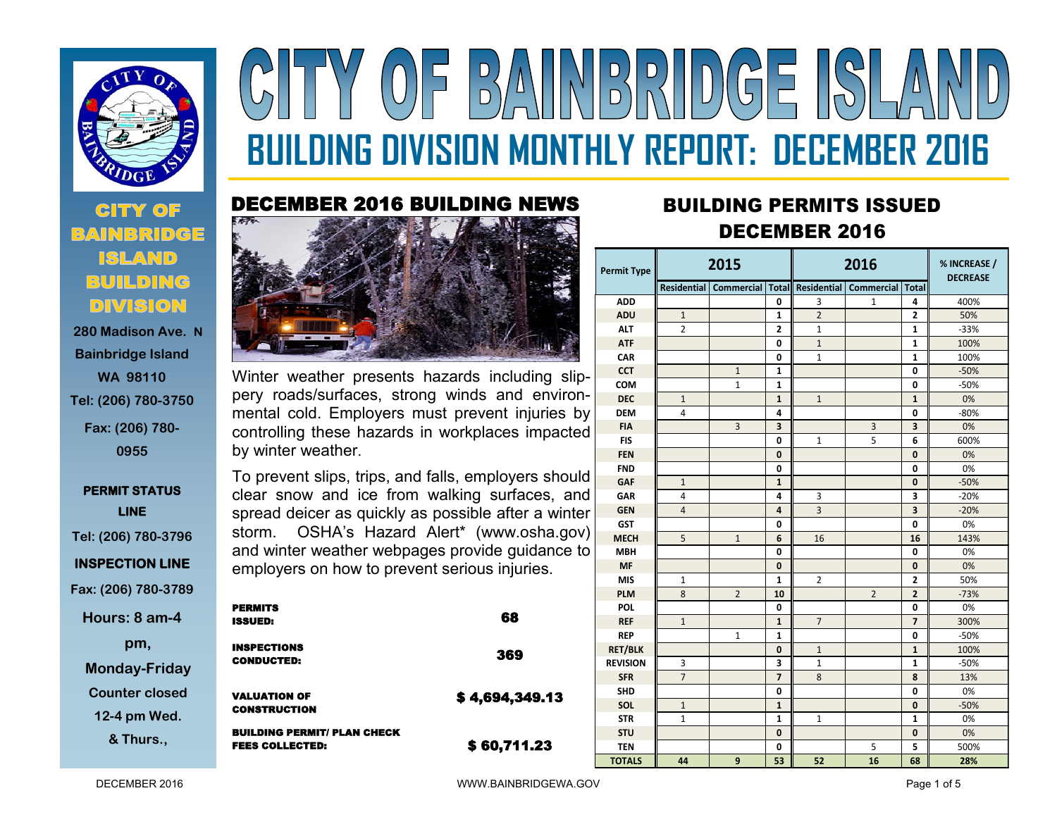

## **CITY OF DIVISION**

**280 Madison Ave. N Bainbridge Island WA 98110 Tel: (206) 780-3750 Fax: (206) 780- 0955**

## **PERMIT STATUS LINE Tel: (206) 780-3796**

**INSPECTION LINE** 

**Fax: (206) 780-3789**

**Hours: 8 am-4** 

**pm,** 

**Monday-Friday Counter closed** 

**12-4 pm Wed.** 

**& Thurs.,** 

# $(0)$  = BAIINBRIDGE ISLA **BUILDING DIVISION MONTHLY REPORT: DECEMBER 2016**

## DECEMBER 2016 BUILDING NEWS



Winter weather presents hazards including slippery roads/surfaces, strong winds and environmental cold. Employers must prevent injuries by controlling these hazards in workplaces impacted by winter weather.

To prevent slips, trips, and falls, employers should clear snow and ice from walking surfaces, and spread deicer as quickly as possible after a winter storm. OSHA's Hazard Alert\* (www.osha.gov) and winter weather webpages provide guidance to employers on how to prevent serious injuries.

| <b>PERMITS</b><br><b>ISSUED:</b>                             | 68             |
|--------------------------------------------------------------|----------------|
| <b>INSPECTIONS</b><br><b>CONDUCTED:</b>                      | 369            |
| <b>VALUATION OF</b><br><b>CONSTRUCTION</b>                   | \$4,694,349.13 |
| <b>BUILDING PERMIT/ PLAN CHECK</b><br><b>FEES COLLECTED:</b> | \$60,711.23    |

## **<sup>2016</sup>** BUILDING PERMITS ISSUED DECEMBER 2016

| <b>Permit Type</b> | 2015           |                                                                     |                         | 2016           |                | % INCREASE /<br><b>DECREASE</b> |        |
|--------------------|----------------|---------------------------------------------------------------------|-------------------------|----------------|----------------|---------------------------------|--------|
|                    |                | Residential   Commercial   Total   Residential   Commercial   Total |                         |                |                |                                 |        |
| <b>ADD</b>         |                |                                                                     | 0                       | 3              | $\mathbf{1}$   | 4                               | 400%   |
| <b>ADU</b>         | $\mathbf{1}$   |                                                                     | 1                       | $\overline{2}$ |                | $\overline{2}$                  | 50%    |
| <b>ALT</b>         | $\overline{2}$ |                                                                     | $\overline{2}$          | $\mathbf{1}$   |                | 1                               | $-33%$ |
| <b>ATF</b>         |                |                                                                     | 0                       | $\mathbf{1}$   |                | 1                               | 100%   |
| CAR                |                |                                                                     | 0                       | $\mathbf{1}$   |                | 1                               | 100%   |
| <b>CCT</b>         |                | $\mathbf{1}$                                                        | 1                       |                |                | 0                               | $-50%$ |
| <b>COM</b>         |                | $\mathbf{1}$                                                        | 1                       |                |                | 0                               | $-50%$ |
| <b>DEC</b>         | $\mathbf{1}$   |                                                                     | $\mathbf{1}$            | $\mathbf{1}$   |                | $\mathbf{1}$                    | 0%     |
| <b>DEM</b>         | 4              |                                                                     | 4                       |                |                | 0                               | $-80%$ |
| <b>FIA</b>         |                | $\overline{3}$                                                      | $\overline{\mathbf{3}}$ |                | $\overline{3}$ | 3                               | 0%     |
| <b>FIS</b>         |                |                                                                     | 0                       | $\mathbf{1}$   | 5              | 6                               | 600%   |
| <b>FEN</b>         |                |                                                                     | $\mathbf{0}$            |                |                | 0                               | 0%     |
| <b>FND</b>         |                |                                                                     | 0                       |                |                | 0                               | 0%     |
| <b>GAF</b>         | $\mathbf{1}$   |                                                                     | $\mathbf{1}$            |                |                | 0                               | $-50%$ |
| <b>GAR</b>         | 4              |                                                                     | 4                       | 3              |                | 3                               | $-20%$ |
| <b>GEN</b>         | $\overline{4}$ |                                                                     | 4                       | 3              |                | $\overline{\mathbf{3}}$         | $-20%$ |
| <b>GST</b>         |                |                                                                     | 0                       |                |                | 0                               | 0%     |
| <b>MECH</b>        | 5              | $\mathbf{1}$                                                        | 6                       | 16             |                | 16                              | 143%   |
| <b>MBH</b>         |                |                                                                     | 0                       |                |                | 0                               | 0%     |
| <b>MF</b>          |                |                                                                     | 0                       |                |                | 0                               | 0%     |
| <b>MIS</b>         | 1              |                                                                     | $\mathbf{1}$            | $\overline{2}$ |                | $\overline{2}$                  | 50%    |
| <b>PLM</b>         | 8              | $\overline{2}$                                                      | 10                      |                | $\overline{2}$ | $\overline{2}$                  | $-73%$ |
| <b>POL</b>         |                |                                                                     | 0                       |                |                | 0                               | 0%     |
| <b>REF</b>         | $\mathbf{1}$   |                                                                     | $\mathbf{1}$            | $\overline{7}$ |                | $\overline{7}$                  | 300%   |
| <b>REP</b>         |                | 1                                                                   | 1                       |                |                | 0                               | $-50%$ |
| <b>RET/BLK</b>     |                |                                                                     | $\mathbf{0}$            | $\mathbf{1}$   |                | $\mathbf{1}$                    | 100%   |
| <b>REVISION</b>    | 3              |                                                                     | 3                       | $\mathbf{1}$   |                | 1                               | $-50%$ |
| <b>SFR</b>         | $\overline{7}$ |                                                                     | $\overline{7}$          | 8              |                | 8                               | 13%    |
| <b>SHD</b>         |                |                                                                     | 0                       |                |                | 0                               | 0%     |
| SOL                | $\mathbf{1}$   |                                                                     | $\mathbf{1}$            |                |                | 0                               | $-50%$ |
| <b>STR</b>         | 1              |                                                                     | $\mathbf{1}$            | $\mathbf{1}$   |                | $\mathbf{1}$                    | 0%     |
| <b>STU</b>         |                |                                                                     | 0                       |                |                | 0                               | 0%     |
| <b>TEN</b>         |                |                                                                     | 0                       |                | 5              | 5                               | 500%   |
| <b>TOTALS</b>      | 44             | 9                                                                   | 53                      | 52             | 16             | 68                              | 28%    |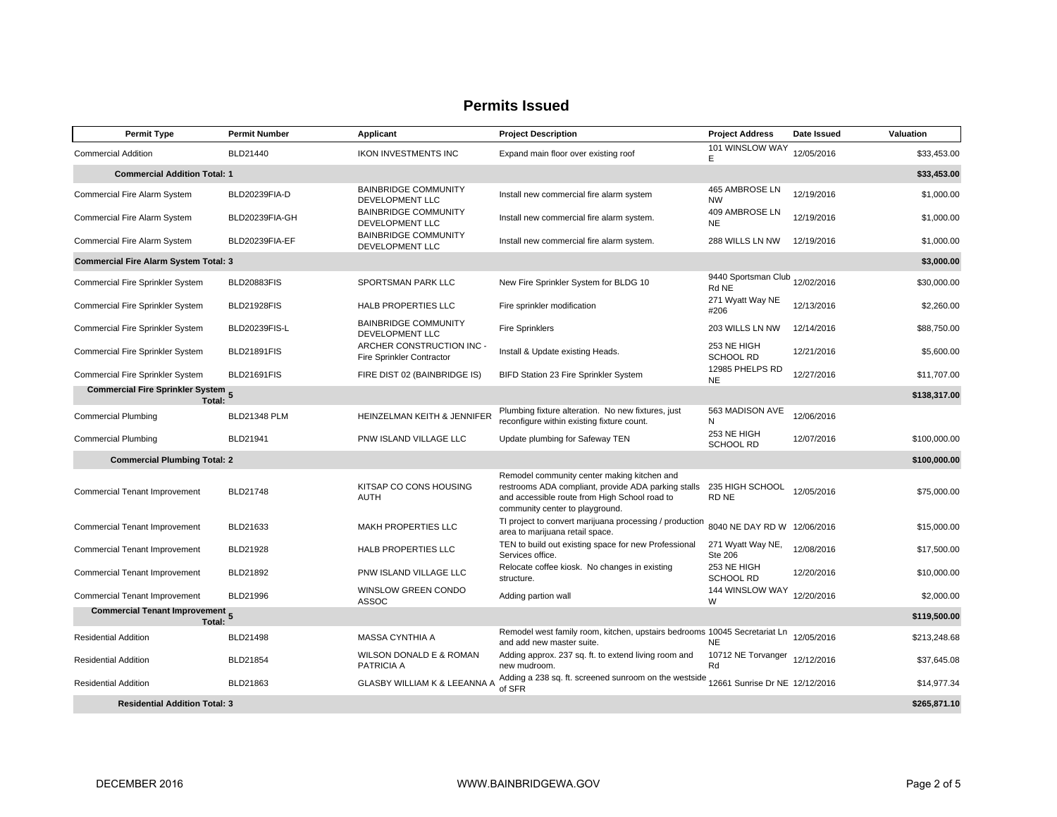| <b>Permit Type</b>                                          | <b>Permit Number</b> | Applicant                                                     | <b>Project Description</b>                                                                                                                                                             | <b>Project Address</b>                  | Date Issued | Valuation    |
|-------------------------------------------------------------|----------------------|---------------------------------------------------------------|----------------------------------------------------------------------------------------------------------------------------------------------------------------------------------------|-----------------------------------------|-------------|--------------|
| <b>Commercial Addition</b>                                  | BLD21440             | <b>IKON INVESTMENTS INC</b>                                   | Expand main floor over existing roof                                                                                                                                                   | 101 WINSLOW WAY<br>E                    | 12/05/2016  | \$33,453.00  |
| <b>Commercial Addition Total: 1</b>                         |                      |                                                               |                                                                                                                                                                                        |                                         |             | \$33,453.00  |
| Commercial Fire Alarm System                                | BLD20239FIA-D        | <b>BAINBRIDGE COMMUNITY</b><br>DEVELOPMENT LLC                | Install new commercial fire alarm system                                                                                                                                               | 465 AMBROSE LN<br><b>NW</b>             | 12/19/2016  | \$1,000.00   |
| Commercial Fire Alarm System                                | BLD20239FIA-GH       | <b>BAINBRIDGE COMMUNITY</b><br>DEVELOPMENT LLC                | Install new commercial fire alarm system.                                                                                                                                              | 409 AMBROSE LN<br><b>NE</b>             | 12/19/2016  | \$1,000.00   |
| <b>Commercial Fire Alarm System</b>                         | BLD20239FIA-EF       | <b>BAINBRIDGE COMMUNITY</b><br>DEVELOPMENT LLC                | Install new commercial fire alarm system.                                                                                                                                              | 288 WILLS LN NW                         | 12/19/2016  | \$1,000.00   |
| <b>Commercial Fire Alarm System Total: 3</b>                |                      |                                                               |                                                                                                                                                                                        |                                         |             | \$3,000.00   |
| Commercial Fire Sprinkler System                            | <b>BLD20883FIS</b>   | SPORTSMAN PARK LLC                                            | New Fire Sprinkler System for BLDG 10                                                                                                                                                  | 9440 Sportsman Club 12/02/2016<br>Rd NE |             | \$30,000.00  |
| Commercial Fire Sprinkler System                            | <b>BLD21928FIS</b>   | HALB PROPERTIES LLC                                           | Fire sprinkler modification                                                                                                                                                            | 271 Wyatt Way NE<br>#206                | 12/13/2016  | \$2,260.00   |
| Commercial Fire Sprinkler System                            | BLD20239FIS-L        | <b>BAINBRIDGE COMMUNITY</b><br><b>DEVELOPMENT LLC</b>         | <b>Fire Sprinklers</b>                                                                                                                                                                 | 203 WILLS LN NW                         | 12/14/2016  | \$88,750.00  |
| Commercial Fire Sprinkler System                            | <b>BLD21891FIS</b>   | ARCHER CONSTRUCTION INC -<br><b>Fire Sprinkler Contractor</b> | Install & Update existing Heads.                                                                                                                                                       | 253 NE HIGH<br><b>SCHOOL RD</b>         | 12/21/2016  | \$5,600.00   |
| Commercial Fire Sprinkler System                            | BLD21691FIS          | FIRE DIST 02 (BAINBRIDGE IS)                                  | BIFD Station 23 Fire Sprinkler System                                                                                                                                                  | 12985 PHELPS RD<br><b>NE</b>            | 12/27/2016  | \$11,707.00  |
| Commercial Fire Sprinkler System 5<br>Total:                |                      |                                                               |                                                                                                                                                                                        |                                         |             | \$138,317.00 |
| <b>Commercial Plumbing</b>                                  | <b>BLD21348 PLM</b>  | HEINZELMAN KEITH & JENNIFER                                   | Plumbing fixture alteration. No new fixtures, just<br>reconfigure within existing fixture count.                                                                                       | 563 MADISON AVE<br>N                    | 12/06/2016  |              |
| <b>Commercial Plumbing</b>                                  | BLD21941             | PNW ISLAND VILLAGE LLC                                        | Update plumbing for Safeway TEN                                                                                                                                                        | 253 NE HIGH<br><b>SCHOOL RD</b>         | 12/07/2016  | \$100,000.00 |
| <b>Commercial Plumbing Total: 2</b>                         |                      |                                                               |                                                                                                                                                                                        |                                         |             | \$100,000.00 |
| <b>Commercial Tenant Improvement</b>                        | <b>BLD21748</b>      | KITSAP CO CONS HOUSING<br><b>AUTH</b>                         | Remodel community center making kitchen and<br>restrooms ADA compliant, provide ADA parking stalls<br>and accessible route from High School road to<br>community center to playground. | 235 HIGH SCHOOL<br>RD NE                | 12/05/2016  | \$75,000.00  |
| <b>Commercial Tenant Improvement</b>                        | BLD21633             | <b>MAKH PROPERTIES LLC</b>                                    | TI project to convert marijuana processing / production<br>area to marijuana retail space.                                                                                             | 8040 NE DAY RD W 12/06/2016             |             | \$15,000.00  |
| <b>Commercial Tenant Improvement</b>                        | <b>BLD21928</b>      | HALB PROPERTIES LLC                                           | TEN to build out existing space for new Professional<br>Services office.                                                                                                               | 271 Wyatt Way NE,<br><b>Ste 206</b>     | 12/08/2016  | \$17,500.00  |
| <b>Commercial Tenant Improvement</b>                        | BLD21892             | PNW ISLAND VILLAGE LLC                                        | Relocate coffee kiosk. No changes in existing<br>structure.                                                                                                                            | 253 NE HIGH<br>SCHOOL RD                | 12/20/2016  | \$10,000.00  |
| <b>Commercial Tenant Improvement</b>                        | BLD21996             | <b>WINSLOW GREEN CONDO</b><br>ASSOC                           | Adding partion wall                                                                                                                                                                    | 144 WINSLOW WAY<br>W                    | 12/20/2016  | \$2,000.00   |
| <b>Commercial Tenant Improvement</b> <sub>5</sub><br>Total: |                      |                                                               |                                                                                                                                                                                        |                                         |             | \$119,500.00 |
| <b>Residential Addition</b>                                 | <b>BLD21498</b>      | <b>MASSA CYNTHIA A</b>                                        | Remodel west family room, kitchen, upstairs bedrooms 10045 Secretariat Ln<br>and add new master suite.                                                                                 | <b>NE</b>                               | 12/05/2016  | \$213,248.68 |
| <b>Residential Addition</b>                                 | BLD21854             | WILSON DONALD E & ROMAN<br>PATRICIA A                         | Adding approx. 237 sq. ft. to extend living room and<br>new mudroom.                                                                                                                   | 10712 NE Torvanger<br>Rd                | 12/12/2016  | \$37,645.08  |
| <b>Residential Addition</b>                                 | BLD21863             | GLASBY WILLIAM K & LEEANNA A                                  | Adding a 238 sq. ft. screened sunroom on the westside<br>of SFR                                                                                                                        | 12661 Sunrise Dr NE 12/12/2016          |             | \$14,977.34  |
| <b>Residential Addition Total: 3</b>                        |                      |                                                               |                                                                                                                                                                                        |                                         |             | \$265,871.10 |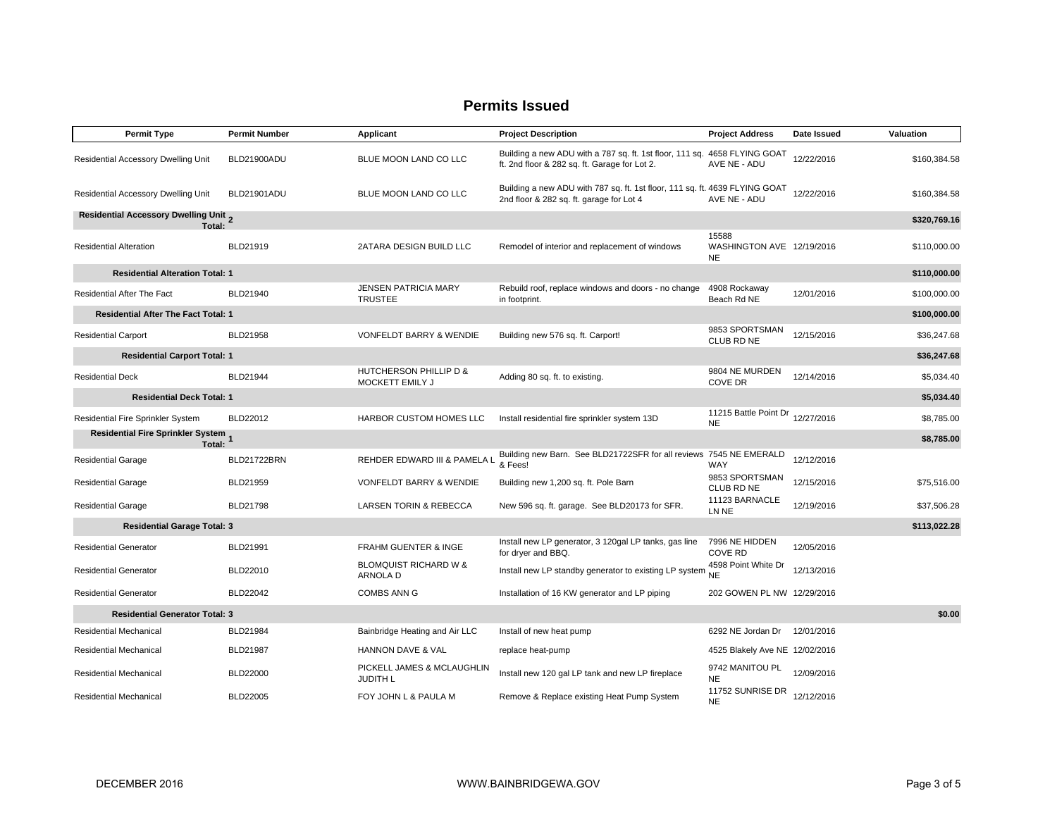| <b>Permit Type</b>                                     | <b>Permit Number</b> | <b>Applicant</b>                              | <b>Project Description</b>                                                                                                 | <b>Project Address</b>                          | Date Issued | Valuation    |
|--------------------------------------------------------|----------------------|-----------------------------------------------|----------------------------------------------------------------------------------------------------------------------------|-------------------------------------------------|-------------|--------------|
| Residential Accessory Dwelling Unit                    | BLD21900ADU          | BLUE MOON LAND CO LLC                         | Building a new ADU with a 787 sq. ft. 1st floor, 111 sq. 4658 FLYING GOAT<br>ft. 2nd floor & 282 sq. ft. Garage for Lot 2. | AVE NE - ADU                                    | 12/22/2016  | \$160,384.58 |
| Residential Accessory Dwelling Unit                    | BLD21901ADU          | BLUE MOON LAND CO LLC                         | Building a new ADU with 787 sq. ft. 1st floor, 111 sq. ft. 4639 FLYING GOAT<br>2nd floor & 282 sq. ft. garage for Lot 4    | AVE NE - ADU                                    | 12/22/2016  | \$160,384.58 |
| <b>Residential Accessory Dwelling Unit 2</b><br>Total: |                      |                                               |                                                                                                                            |                                                 |             | \$320,769.16 |
| <b>Residential Alteration</b>                          | BLD21919             | 2ATARA DESIGN BUILD LLC                       | Remodel of interior and replacement of windows                                                                             | 15588<br>WASHINGTON AVE 12/19/2016<br><b>NE</b> |             | \$110,000.00 |
| <b>Residential Alteration Total: 1</b>                 |                      |                                               |                                                                                                                            |                                                 |             | \$110,000.00 |
| <b>Residential After The Fact</b>                      | BLD21940             | JENSEN PATRICIA MARY<br><b>TRUSTEE</b>        | Rebuild roof, replace windows and doors - no change<br>in footprint.                                                       | 4908 Rockaway<br>Beach Rd NE                    | 12/01/2016  | \$100,000.00 |
| <b>Residential After The Fact Total: 1</b>             |                      |                                               |                                                                                                                            |                                                 |             | \$100,000.00 |
| <b>Residential Carport</b>                             | BLD21958             | <b>VONFELDT BARRY &amp; WENDIE</b>            | Building new 576 sq. ft. Carport!                                                                                          | 9853 SPORTSMAN<br>CLUB RD NE                    | 12/15/2016  | \$36,247.68  |
| <b>Residential Carport Total: 1</b>                    |                      |                                               |                                                                                                                            |                                                 |             | \$36,247.68  |
| <b>Residential Deck</b>                                | BLD21944             | HUTCHERSON PHILLIP D &<br>MOCKETT EMILY J     | Adding 80 sq. ft. to existing.                                                                                             | 9804 NE MURDEN<br><b>COVE DR</b>                | 12/14/2016  | \$5,034.40   |
| <b>Residential Deck Total: 1</b>                       |                      |                                               |                                                                                                                            |                                                 |             | \$5,034.40   |
| Residential Fire Sprinkler System                      | BLD22012             | HARBOR CUSTOM HOMES LLC                       | Install residential fire sprinkler system 13D                                                                              | 11215 Battle Point Dr 12/27/2016<br><b>NE</b>   |             | \$8,785.00   |
| Residential Fire Sprinkler System<br>1. Total:         |                      |                                               |                                                                                                                            |                                                 |             | \$8,785.00   |
| <b>Residential Garage</b>                              | BLD21722BRN          | REHDER EDWARD III & PAMELA L                  | Building new Barn. See BLD21722SFR for all reviews 7545 NE EMERALD<br>& Fees!                                              | WAY                                             | 12/12/2016  |              |
| <b>Residential Garage</b>                              | BLD21959             | <b>VONFELDT BARRY &amp; WENDIE</b>            | Building new 1,200 sq. ft. Pole Barn                                                                                       | 9853 SPORTSMAN<br>CLUB RD NE                    | 12/15/2016  | \$75,516.00  |
| <b>Residential Garage</b>                              | BLD21798             | <b>LARSEN TORIN &amp; REBECCA</b>             | New 596 sq. ft. garage. See BLD20173 for SFR.                                                                              | 11123 BARNACLE<br>LN NE                         | 12/19/2016  | \$37,506.28  |
| <b>Residential Garage Total: 3</b>                     |                      |                                               |                                                                                                                            |                                                 |             | \$113,022.28 |
| <b>Residential Generator</b>                           | BLD21991             | <b>FRAHM GUENTER &amp; INGE</b>               | Install new LP generator, 3 120gal LP tanks, gas line<br>for dryer and BBQ.                                                | 7996 NE HIDDEN<br><b>COVE RD</b>                | 12/05/2016  |              |
| <b>Residential Generator</b>                           | BLD22010             | <b>BLOMQUIST RICHARD W &amp;</b><br>ARNOLA D  | Install new LP standby generator to existing LP system                                                                     | 4598 Point White Dr<br><b>NE</b>                | 12/13/2016  |              |
| <b>Residential Generator</b>                           | <b>BLD22042</b>      | <b>COMBS ANN G</b>                            | Installation of 16 KW generator and LP piping                                                                              | 202 GOWEN PL NW 12/29/2016                      |             |              |
| <b>Residential Generator Total: 3</b>                  |                      |                                               |                                                                                                                            |                                                 |             | \$0.00       |
| <b>Residential Mechanical</b>                          | BLD21984             | Bainbridge Heating and Air LLC                | Install of new heat pump                                                                                                   | 6292 NE Jordan Dr 12/01/2016                    |             |              |
| <b>Residential Mechanical</b>                          | BLD21987             | <b>HANNON DAVE &amp; VAL</b>                  | replace heat-pump                                                                                                          | 4525 Blakely Ave NE 12/02/2016                  |             |              |
| <b>Residential Mechanical</b>                          | <b>BLD22000</b>      | PICKELL JAMES & MCLAUGHLIN<br><b>JUDITH L</b> | Install new 120 gal LP tank and new LP fireplace                                                                           | 9742 MANITOU PL<br><b>NE</b>                    | 12/09/2016  |              |
| <b>Residential Mechanical</b>                          | BLD22005             | FOY JOHN L & PAULA M                          | Remove & Replace existing Heat Pump System                                                                                 | 11752 SUNRISE DR<br><b>NE</b>                   | 12/12/2016  |              |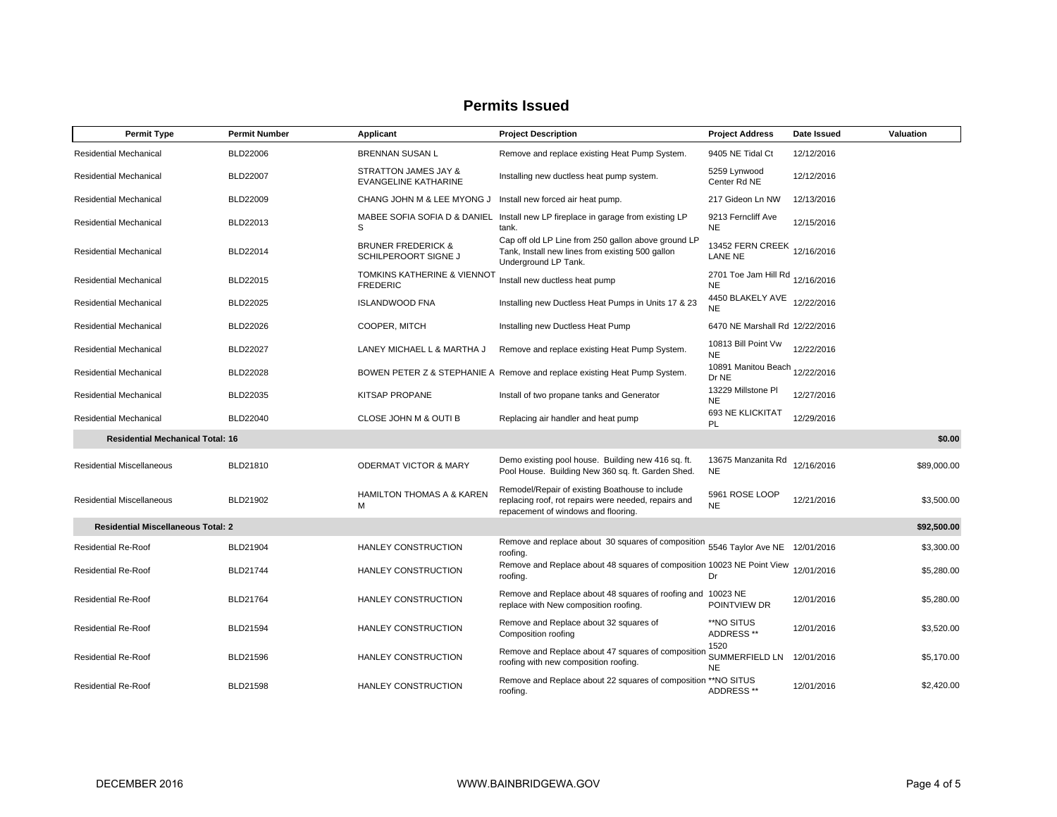| <b>Permit Type</b>                        | <b>Permit Number</b> | Applicant                                                 | <b>Project Description</b>                                                                                                                     | <b>Project Address</b>                       | Date Issued | Valuation   |
|-------------------------------------------|----------------------|-----------------------------------------------------------|------------------------------------------------------------------------------------------------------------------------------------------------|----------------------------------------------|-------------|-------------|
| <b>Residential Mechanical</b>             | <b>BLD22006</b>      | BRENNAN SUSAN L                                           | Remove and replace existing Heat Pump System.                                                                                                  | 9405 NE Tidal Ct                             | 12/12/2016  |             |
| Residential Mechanical                    | <b>BLD22007</b>      | STRATTON JAMES JAY &<br>EVANGELINE KATHARINE              | Installing new ductless heat pump system.                                                                                                      | 5259 Lynwood<br>Center Rd NE                 | 12/12/2016  |             |
| <b>Residential Mechanical</b>             | <b>BLD22009</b>      | CHANG JOHN M & LEE MYONG J                                | Install new forced air heat pump.                                                                                                              | 217 Gideon Ln NW                             | 12/13/2016  |             |
| <b>Residential Mechanical</b>             | BLD22013             | S                                                         | MABEE SOFIA SOFIA D & DANIEL Install new LP fireplace in garage from existing LP<br>tank.                                                      | 9213 Ferncliff Ave<br><b>NE</b>              | 12/15/2016  |             |
| <b>Residential Mechanical</b>             | BLD22014             | <b>BRUNER FREDERICK &amp;</b><br>SCHILPEROORT SIGNE J     | Cap off old LP Line from 250 gallon above ground LP<br>Tank, Install new lines from existing 500 gallon<br>Underground LP Tank.                | 13452 FERN CREEK 12/16/2016<br>LANE NE       |             |             |
| <b>Residential Mechanical</b>             | <b>BLD22015</b>      | <b>TOMKINS KATHERINE &amp; VIENNOT</b><br><b>FREDERIC</b> | Install new ductless heat pump                                                                                                                 | 2701 Toe Jam Hill Rd 12/16/2016<br><b>NE</b> |             |             |
| <b>Residential Mechanical</b>             | BLD22025             | <b>ISLANDWOOD FNA</b>                                     | Installing new Ductless Heat Pumps in Units 17 & 23                                                                                            | 4450 BLAKELY AVE<br><b>NE</b>                | 12/22/2016  |             |
| <b>Residential Mechanical</b>             | <b>BLD22026</b>      | COOPER, MITCH                                             | Installing new Ductless Heat Pump                                                                                                              | 6470 NE Marshall Rd 12/22/2016               |             |             |
| <b>Residential Mechanical</b>             | <b>BLD22027</b>      | LANEY MICHAEL L & MARTHA J                                | Remove and replace existing Heat Pump System.                                                                                                  | 10813 Bill Point Vw<br><b>NE</b>             | 12/22/2016  |             |
| <b>Residential Mechanical</b>             | <b>BLD22028</b>      |                                                           | BOWEN PETER Z & STEPHANIE A Remove and replace existing Heat Pump System.                                                                      | 10891 Manitou Beach 12/22/2016<br>Dr NE      |             |             |
| <b>Residential Mechanical</b>             | BLD22035             | KITSAP PROPANE                                            | Install of two propane tanks and Generator                                                                                                     | 13229 Millstone PI<br><b>NE</b>              | 12/27/2016  |             |
| <b>Residential Mechanical</b>             | <b>BLD22040</b>      | CLOSE JOHN M & OUTI B                                     | Replacing air handler and heat pump                                                                                                            | 693 NE KLICKITAT<br><b>PL</b>                | 12/29/2016  |             |
| <b>Residential Mechanical Total: 16</b>   |                      |                                                           |                                                                                                                                                |                                              |             | \$0.00      |
| <b>Residential Miscellaneous</b>          | BLD21810             | <b>ODERMAT VICTOR &amp; MARY</b>                          | Demo existing pool house. Building new 416 sq. ft.<br>Pool House. Building New 360 sq. ft. Garden Shed.                                        | 13675 Manzanita Rd<br><b>NE</b>              | 12/16/2016  | \$89,000.00 |
| <b>Residential Miscellaneous</b>          | BLD21902             | <b>HAMILTON THOMAS A &amp; KAREN</b><br>М                 | Remodel/Repair of existing Boathouse to include<br>replacing roof, rot repairs were needed, repairs and<br>repacement of windows and flooring. | 5961 ROSE LOOP<br><b>NE</b>                  | 12/21/2016  | \$3,500.00  |
| <b>Residential Miscellaneous Total: 2</b> |                      |                                                           |                                                                                                                                                |                                              |             | \$92,500.00 |
| <b>Residential Re-Roof</b>                | BLD21904             | HANLEY CONSTRUCTION                                       | Remove and replace about 30 squares of composition<br>roofing.                                                                                 | 5546 Taylor Ave NE 12/01/2016                |             | \$3,300.00  |
| <b>Residential Re-Roof</b>                | <b>BLD21744</b>      | HANLEY CONSTRUCTION                                       | Remove and Replace about 48 squares of composition 10023 NE Point View<br>roofing.                                                             | Dr                                           | 12/01/2016  | \$5,280.00  |
| <b>Residential Re-Roof</b>                | BLD21764             | HANLEY CONSTRUCTION                                       | Remove and Replace about 48 squares of roofing and<br>replace with New composition roofing.                                                    | 10023 NE<br>POINTVIEW DR                     | 12/01/2016  | \$5,280.00  |
| <b>Residential Re-Roof</b>                | BLD21594             | HANLEY CONSTRUCTION                                       | Remove and Replace about 32 squares of<br>Composition roofing                                                                                  | **NO SITUS<br>ADDRESS **                     | 12/01/2016  | \$3,520.00  |
| <b>Residential Re-Roof</b>                | <b>BLD21596</b>      | HANLEY CONSTRUCTION                                       | Remove and Replace about 47 squares of composition<br>roofing with new composition roofing.                                                    | 1520<br>SUMMERFIELD LN<br>NE                 | 12/01/2016  | \$5,170.00  |
| <b>Residential Re-Roof</b>                | <b>BLD21598</b>      | <b>HANLEY CONSTRUCTION</b>                                | Remove and Replace about 22 squares of composition ** NO SITUS<br>roofing.                                                                     | ADDRESS **                                   | 12/01/2016  | \$2,420.00  |